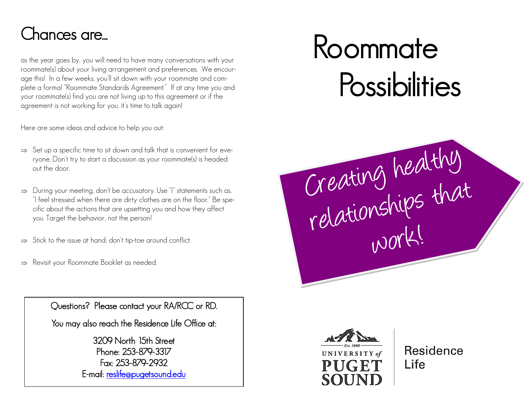# Chances are...

as the year goes by, you will need to have many conversations with your roommate(s) about your living arrangement and preferences. We encourage this! In a few weeks, you'll sit down with your roommate and complete a formal "Roommate Standards Agreement." If at any time you and your roommate(s) find you are not living up to this agreement or if the agreement is not working for you, it's time to talk again!

Here are some ideas and advice to help you out:

- $\Rightarrow$  Set up a specific time to sit down and talk that is convenient for everyone. Don't try to start a discussion as your roommate(s) is headed out the door.
- $\Rightarrow$  During your meeting, don't be accusatory. Use "I" statements such as, "I feel stressed when there are dirty clothes are on the floor." Be specific about the actions that are upsetting you and how they affect you. Target the behavior, not the person!
- $\Rightarrow$  Stick to the issue at hand; don't tip-toe around conflict.
- $\Rightarrow$  Revisit your Roommate Booklet as needed.

Questions? Please contact your RA/RCC or RD.

You may also reach the Residence Life Office at:

3209 North 15th Street Phone: 253-879-3317 Fax: 253-879-2932 E-mail: [reslife@pugetsound.edu](mailto:reslife@pugetsound.edu) 

# Roommate **Possibilities**





**Residence** l ife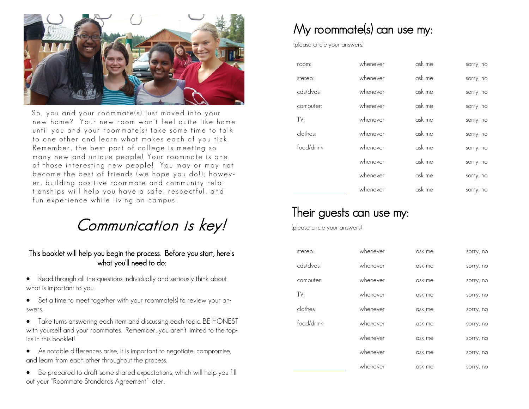

So, you and your roommate(s) just moved into your new home? Your new room won't feel quite like home until you and your roommate(s) take some time to talk to one other and learn what makes each of you tick. Remember, the best part of college is meeting so many new and unique people! Your roommate is one of those interesting new people! You may or may not become the best of friends (we hope you do!); however, building positive roommate and community relationships will help you have a safe, respectful, and fun experience while living on campus!

# Communication is key!

#### This booklet will help you begin the process. Before you start, here's what you'll need to do:

- Read through all the questions individually and seriously think about what is important to you.
- Set a time to meet together with your roommate(s) to review your answers.
- Take turns answering each item and discussing each topic. BE HONEST with yourself and your roommates. Remember, you aren't limited to the topics in this booklet!
- As notable differences arise, it is important to negotiate, compromise, and learn from each other throughout the process.
- Be prepared to draft some shared expectations, which will help you fill out your "Roommate Standards Agreement" later.

## My roommate(s) can use my:

(please circle your answers)

| room:       | whenever | ask me | sorry, no |
|-------------|----------|--------|-----------|
| stereo:     | whenever | ask me | sorry, no |
| cds/dvds:   | whenever | ask me | sorry, no |
| computer:   | whenever | ask me | sorry, no |
| TV:         | whenever | ask me | sorry, no |
| clothes:    | whenever | ask me | sorry, no |
| food/drink: | whenever | ask me | sorry, no |
|             | whenever | ask me | sorry, no |
|             | whenever | ask me | sorry, no |
|             | whenever | ask me | sorry, no |

## Their guests can use my:

(please circle your answers)

| stereo:     | whenever | ask me | sorry, no |
|-------------|----------|--------|-----------|
| cds/dvds:   | whenever | ask me | sorry, no |
| computer:   | whenever | ask me | sorry, no |
| TV:         | whenever | ask me | sorry, no |
| clothes:    | whenever | ask me | sorry, no |
| food/drink: | whenever | ask me | sorry, no |
|             | whenever | ask me | sorry, no |
|             | whenever | ask me | sorry, no |
|             | whenever | ask me | sorry, no |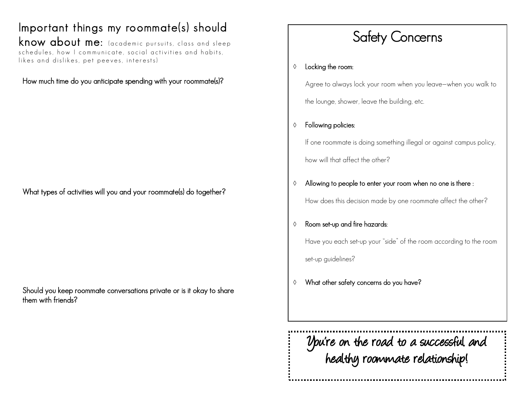Important things my roommate(s) should know about me: (academic pursuits, class and sleep schedules, how I communicate, social activities and habits, likes and dislikes, pet peeves, interests)

#### How much time do you anticipate spending with your roommate(s)?

What types of activities will you and your roommate(s) do together?

Should you keep roommate conversations private or is it okay to share them with friends?

# Safety Concerns

#### $\Diamond$  Locking the room:

Agree to always lock your room when you leave—when you walk to

the lounge, shower, leave the building, etc.

#### Following policies:

If one roommate is doing something illegal or against campus policy, how will that affect the other?

#### $\Diamond$  Allowing to people to enter your room when no one is there :

How does this decision made by one roommate affect the other?

#### Room set-up and fire hazards:

Have you each set-up your "side" of the room according to the room set-up guidelines?

What other safety concerns do you have?

You're on the road to a successful and healthy roommate relationship!